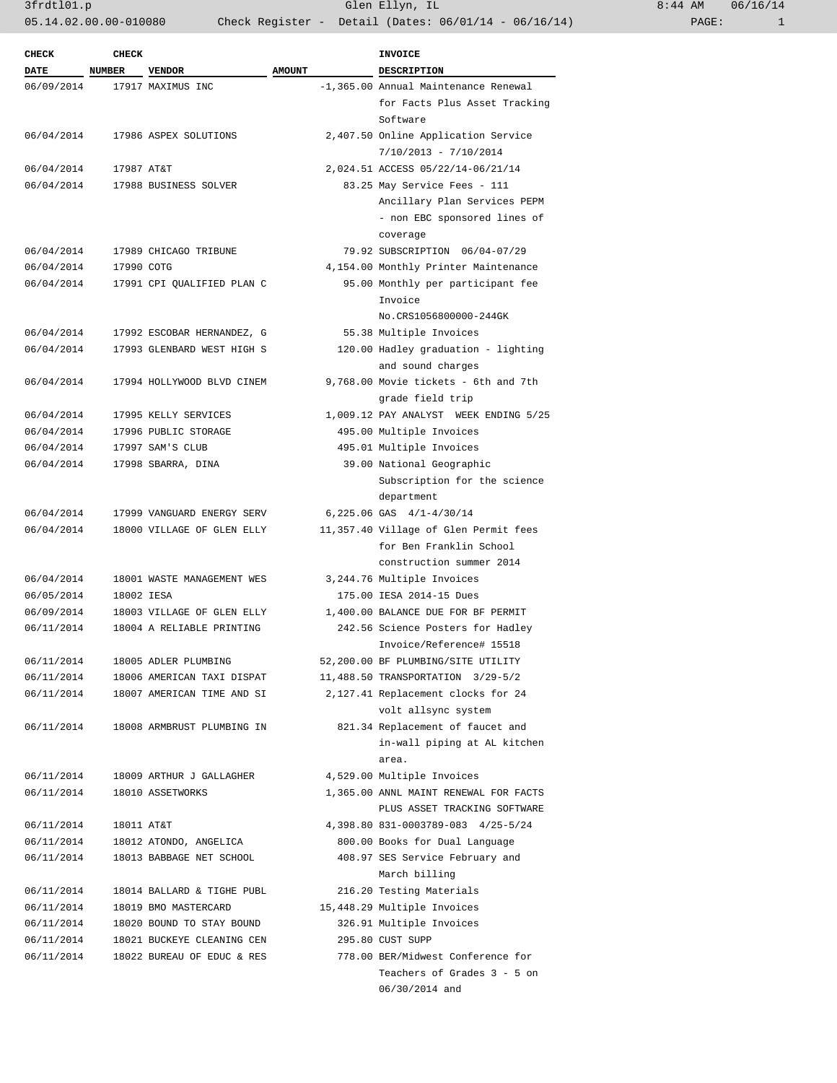| $:44$ AM |       | 06/16/14 |
|----------|-------|----------|
|          | PAGE: |          |

| CHECK       | <b>CHECK</b> |                            |               | <b>INVOICE</b>                                                           |
|-------------|--------------|----------------------------|---------------|--------------------------------------------------------------------------|
| <b>DATE</b> | NUMBER       | <b>VENDOR</b>              | <b>AMOUNT</b> | <b>DESCRIPTION</b>                                                       |
| 06/09/2014  |              | 17917 MAXIMUS INC          |               | -1,365.00 Annual Maintenance Renewal                                     |
|             |              |                            |               | for Facts Plus Asset Tracking<br>Software                                |
| 06/04/2014  |              | 17986 ASPEX SOLUTIONS      |               | 2,407.50 Online Application Service                                      |
|             |              |                            |               | $7/10/2013 - 7/10/2014$                                                  |
| 06/04/2014  | 17987 AT&T   |                            |               | 2,024.51 ACCESS 05/22/14-06/21/14                                        |
| 06/04/2014  |              | 17988 BUSINESS SOLVER      |               | 83.25 May Service Fees - 111                                             |
|             |              |                            |               | Ancillary Plan Services PEPM<br>- non EBC sponsored lines of<br>coverage |
| 06/04/2014  |              | 17989 CHICAGO TRIBUNE      |               | 79.92 SUBSCRIPTION 06/04-07/29                                           |
| 06/04/2014  | 17990 COTG   |                            |               | 4,154.00 Monthly Printer Maintenance                                     |
| 06/04/2014  |              | 17991 CPI QUALIFIED PLAN C |               | 95.00 Monthly per participant fee                                        |
|             |              |                            |               | Invoice<br>No.CRS1056800000-244GK                                        |
| 06/04/2014  |              | 17992 ESCOBAR HERNANDEZ, G |               | 55.38 Multiple Invoices                                                  |
| 06/04/2014  |              | 17993 GLENBARD WEST HIGH S |               | 120.00 Hadley graduation - lighting                                      |
|             |              |                            |               | and sound charges                                                        |
| 06/04/2014  |              | 17994 HOLLYWOOD BLVD CINEM |               | 9,768.00 Movie tickets - 6th and 7th<br>grade field trip                 |
| 06/04/2014  |              | 17995 KELLY SERVICES       |               | 1,009.12 PAY ANALYST WEEK ENDING 5/25                                    |
| 06/04/2014  |              | 17996 PUBLIC STORAGE       |               | 495.00 Multiple Invoices                                                 |
| 06/04/2014  |              | 17997 SAM'S CLUB           |               | 495.01 Multiple Invoices                                                 |
| 06/04/2014  |              | 17998 SBARRA, DINA         |               | 39.00 National Geographic                                                |
|             |              |                            |               | Subscription for the science<br>department                               |
| 06/04/2014  |              | 17999 VANGUARD ENERGY SERV |               | 6,225.06 GAS 4/1-4/30/14                                                 |
| 06/04/2014  |              | 18000 VILLAGE OF GLEN ELLY |               | 11,357.40 Village of Glen Permit fees                                    |
|             |              |                            |               | for Ben Franklin School                                                  |
|             |              |                            |               | construction summer 2014                                                 |
| 06/04/2014  |              | 18001 WASTE MANAGEMENT WES |               | 3,244.76 Multiple Invoices                                               |
| 06/05/2014  | 18002 IESA   |                            |               | 175.00 IESA 2014-15 Dues                                                 |
| 06/09/2014  |              | 18003 VILLAGE OF GLEN ELLY |               | 1,400.00 BALANCE DUE FOR BF PERMIT                                       |
| 06/11/2014  |              | 18004 A RELIABLE PRINTING  |               | 242.56 Science Posters for Hadley                                        |
|             |              |                            |               | Invoice/Reference# 15518                                                 |
| 06/11/2014  |              | 18005 ADLER PLUMBING       |               | 52,200.00 BF PLUMBING/SITE UTILITY                                       |
| 06/11/2014  |              | 18006 AMERICAN TAXI DISPAT |               | 11,488.50 TRANSPORTATION 3/29-5/2                                        |
| 06/11/2014  |              | 18007 AMERICAN TIME AND SI |               | 2,127.41 Replacement clocks for 24                                       |
|             |              |                            |               | volt allsync system                                                      |
| 06/11/2014  |              | 18008 ARMBRUST PLUMBING IN |               | 821.34 Replacement of faucet and                                         |
|             |              |                            |               | in-wall piping at AL kitchen                                             |
|             |              |                            |               | area.                                                                    |
| 06/11/2014  |              | 18009 ARTHUR J GALLAGHER   |               | 4,529.00 Multiple Invoices                                               |
| 06/11/2014  |              | 18010 ASSETWORKS           |               | 1,365.00 ANNL MAINT RENEWAL FOR FACTS                                    |
| 06/11/2014  | 18011 AT&T   |                            |               | PLUS ASSET TRACKING SOFTWARE<br>4,398.80 831-0003789-083 4/25-5/24       |
| 06/11/2014  |              | 18012 ATONDO, ANGELICA     |               | 800.00 Books for Dual Language                                           |
| 06/11/2014  |              | 18013 BABBAGE NET SCHOOL   |               | 408.97 SES Service February and                                          |
|             |              |                            |               | March billing                                                            |
| 06/11/2014  |              | 18014 BALLARD & TIGHE PUBL |               | 216.20 Testing Materials                                                 |
| 06/11/2014  |              | 18019 BMO MASTERCARD       |               | 15,448.29 Multiple Invoices                                              |
| 06/11/2014  |              | 18020 BOUND TO STAY BOUND  |               | 326.91 Multiple Invoices                                                 |
| 06/11/2014  |              | 18021 BUCKEYE CLEANING CEN |               | 295.80 CUST SUPP                                                         |
| 06/11/2014  |              | 18022 BUREAU OF EDUC & RES |               | 778.00 BER/Midwest Conference for                                        |
|             |              |                            |               | Teachers of Grades 3 - 5 on                                              |
|             |              |                            |               | 06/30/2014 and                                                           |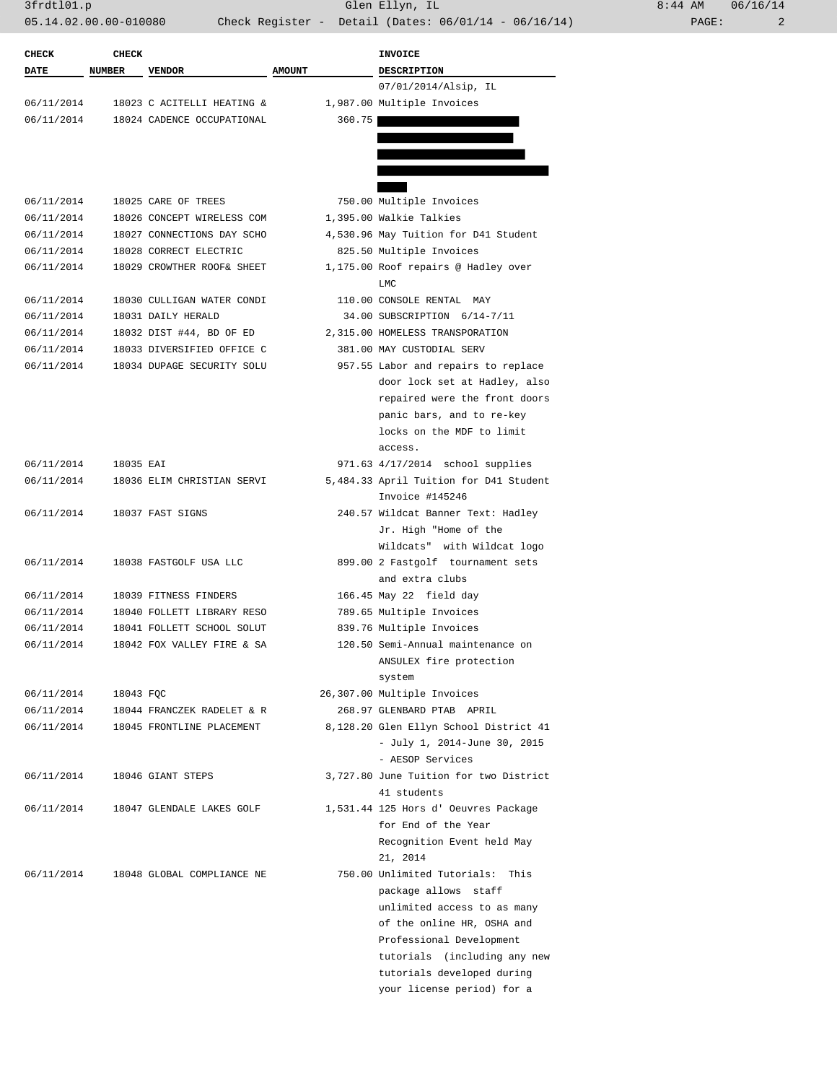| <b>CHECK</b> | <b>CHECK</b>  |                            |               | <b>INVOICE</b>                         |
|--------------|---------------|----------------------------|---------------|----------------------------------------|
| <b>DATE</b>  | <b>NUMBER</b> | <b>VENDOR</b>              | <b>AMOUNT</b> | <b>DESCRIPTION</b>                     |
|              |               |                            |               | 07/01/2014/Alsip, IL                   |
| 06/11/2014   |               | 18023 C ACITELLI HEATING & |               | 1,987.00 Multiple Invoices             |
| 06/11/2014   |               | 18024 CADENCE OCCUPATIONAL | 360.75        |                                        |
|              |               |                            |               |                                        |
|              |               |                            |               |                                        |
|              |               |                            |               |                                        |
|              |               |                            |               |                                        |
| 06/11/2014   |               | 18025 CARE OF TREES        |               | 750.00 Multiple Invoices               |
| 06/11/2014   |               | 18026 CONCEPT WIRELESS COM |               | 1,395.00 Walkie Talkies                |
| 06/11/2014   |               | 18027 CONNECTIONS DAY SCHO |               | 4,530.96 May Tuition for D41 Student   |
| 06/11/2014   |               | 18028 CORRECT ELECTRIC     |               | 825.50 Multiple Invoices               |
| 06/11/2014   |               | 18029 CROWTHER ROOF& SHEET |               | 1,175.00 Roof repairs @ Hadley over    |
|              |               |                            |               | LMC                                    |
|              |               |                            |               |                                        |
| 06/11/2014   |               | 18030 CULLIGAN WATER CONDI |               | 110.00 CONSOLE RENTAL MAY              |
| 06/11/2014   |               | 18031 DAILY HERALD         |               | 34.00 SUBSCRIPTION 6/14-7/11           |
| 06/11/2014   |               | 18032 DIST #44, BD OF ED   |               | 2,315.00 HOMELESS TRANSPORATION        |
| 06/11/2014   |               | 18033 DIVERSIFIED OFFICE C |               | 381.00 MAY CUSTODIAL SERV              |
| 06/11/2014   |               | 18034 DUPAGE SECURITY SOLU |               | 957.55 Labor and repairs to replace    |
|              |               |                            |               | door lock set at Hadley, also          |
|              |               |                            |               | repaired were the front doors          |
|              |               |                            |               | panic bars, and to re-key              |
|              |               |                            |               | locks on the MDF to limit              |
|              |               |                            |               | access.                                |
| 06/11/2014   | 18035 EAI     |                            |               | 971.63 4/17/2014 school supplies       |
| 06/11/2014   |               | 18036 ELIM CHRISTIAN SERVI |               | 5,484.33 April Tuition for D41 Student |
|              |               |                            |               | Invoice #145246                        |
| 06/11/2014   |               | 18037 FAST SIGNS           |               | 240.57 Wildcat Banner Text: Hadley     |
|              |               |                            |               | Jr. High "Home of the                  |
|              |               |                            |               | Wildcats" with Wildcat logo            |
| 06/11/2014   |               | 18038 FASTGOLF USA LLC     |               | 899.00 2 Fastgolf tournament sets      |
|              |               |                            |               | and extra clubs                        |
| 06/11/2014   |               | 18039 FITNESS FINDERS      |               | 166.45 May 22 field day                |
| 06/11/2014   |               | 18040 FOLLETT LIBRARY RESO |               | 789.65 Multiple Invoices               |
| 06/11/2014   |               | 18041 FOLLETT SCHOOL SOLUT |               | 839.76 Multiple Invoices               |
| 06/11/2014   |               | 18042 FOX VALLEY FIRE & SA |               | 120.50 Semi-Annual maintenance on      |
|              |               |                            |               | ANSULEX fire protection                |
|              |               |                            |               | system                                 |
| 06/11/2014   | 18043 FOC     |                            |               | 26,307.00 Multiple Invoices            |
| 06/11/2014   |               | 18044 FRANCZEK RADELET & R |               | 268.97 GLENBARD PTAB APRIL             |
| 06/11/2014   |               | 18045 FRONTLINE PLACEMENT  |               | 8,128.20 Glen Ellyn School District 41 |
|              |               |                            |               | - July 1, 2014-June 30, 2015           |
|              |               |                            |               | - AESOP Services                       |
|              |               |                            |               |                                        |
| 06/11/2014   |               | 18046 GIANT STEPS          |               | 3,727.80 June Tuition for two District |
|              |               |                            |               | 41 students                            |
| 06/11/2014   |               | 18047 GLENDALE LAKES GOLF  |               | 1,531.44 125 Hors d' Oeuvres Package   |
|              |               |                            |               | for End of the Year                    |
|              |               |                            |               | Recognition Event held May             |
|              |               |                            |               | 21, 2014                               |
| 06/11/2014   |               | 18048 GLOBAL COMPLIANCE NE |               | 750.00 Unlimited Tutorials: This       |
|              |               |                            |               | package allows staff                   |
|              |               |                            |               | unlimited access to as many            |
|              |               |                            |               | of the online HR, OSHA and             |
|              |               |                            |               | Professional Development               |
|              |               |                            |               | tutorials (including any new           |
|              |               |                            |               | tutorials developed during             |
|              |               |                            |               | your license period) for a             |
|              |               |                            |               |                                        |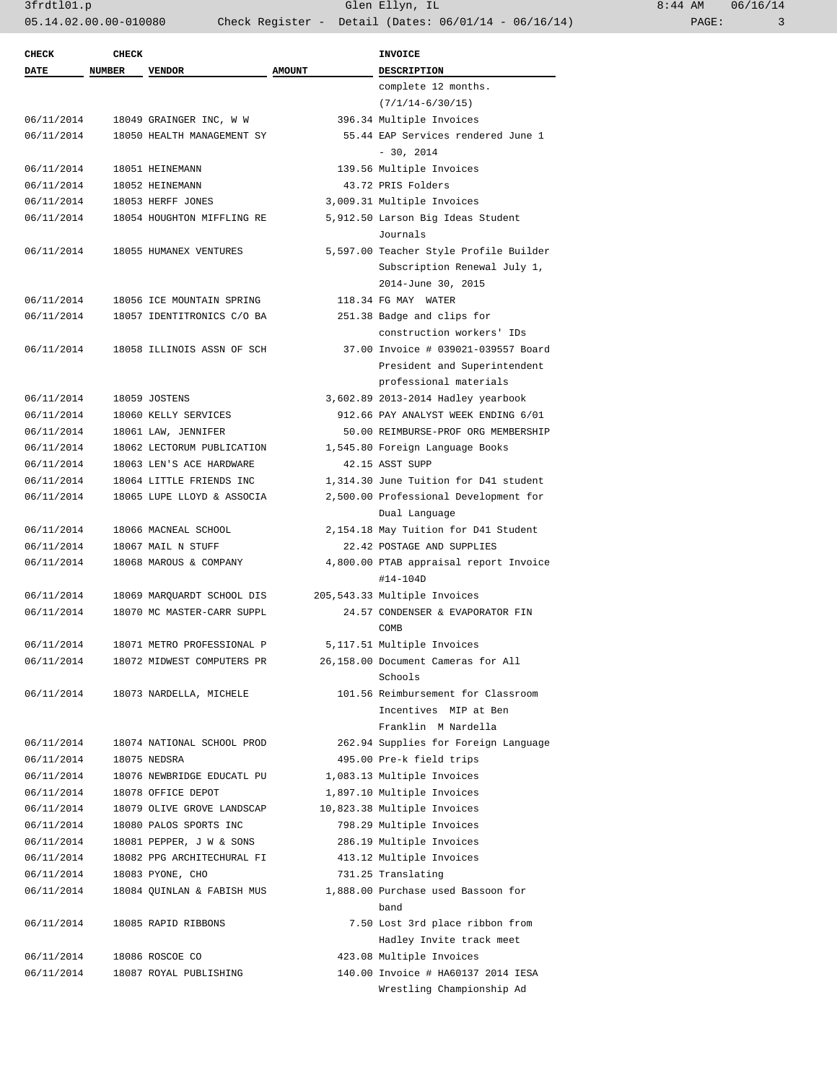| CHECK       | <b>CHECK</b>  |                            |               | <b>INVOICE</b>                                         |
|-------------|---------------|----------------------------|---------------|--------------------------------------------------------|
| <b>DATE</b> | <b>NUMBER</b> | <b>VENDOR</b>              | <b>AMOUNT</b> | <b>DESCRIPTION</b>                                     |
|             |               |                            |               | complete 12 months.                                    |
|             |               |                            |               | $(7/1/14-6/30/15)$                                     |
| 06/11/2014  |               | 18049 GRAINGER INC, W W    |               | 396.34 Multiple Invoices                               |
| 06/11/2014  |               | 18050 HEALTH MANAGEMENT SY |               | 55.44 EAP Services rendered June 1                     |
|             |               |                            |               | $-30, 2014$                                            |
| 06/11/2014  |               | 18051 HEINEMANN            |               | 139.56 Multiple Invoices                               |
| 06/11/2014  |               | 18052 HEINEMANN            |               | 43.72 PRIS Folders                                     |
| 06/11/2014  |               | 18053 HERFF JONES          |               | 3,009.31 Multiple Invoices                             |
| 06/11/2014  |               | 18054 HOUGHTON MIFFLING RE |               | 5,912.50 Larson Big Ideas Student                      |
|             |               |                            |               | Journals                                               |
| 06/11/2014  |               | 18055 HUMANEX VENTURES     |               | 5,597.00 Teacher Style Profile Builder                 |
|             |               |                            |               | Subscription Renewal July 1,                           |
|             |               |                            |               | 2014-June 30, 2015                                     |
| 06/11/2014  |               | 18056 ICE MOUNTAIN SPRING  |               | 118.34 FG MAY WATER                                    |
| 06/11/2014  |               | 18057 IDENTITRONICS C/O BA |               | 251.38 Badge and clips for                             |
|             |               |                            |               | construction workers' IDs                              |
| 06/11/2014  |               | 18058 ILLINOIS ASSN OF SCH |               | 37.00 Invoice # 039021-039557 Board                    |
|             |               |                            |               | President and Superintendent                           |
|             |               |                            |               | professional materials                                 |
| 06/11/2014  |               | 18059 JOSTENS              |               | 3,602.89 2013-2014 Hadley yearbook                     |
| 06/11/2014  |               | 18060 KELLY SERVICES       |               | 912.66 PAY ANALYST WEEK ENDING 6/01                    |
| 06/11/2014  |               | 18061 LAW, JENNIFER        |               | 50.00 REIMBURSE-PROF ORG MEMBERSHIP                    |
| 06/11/2014  |               | 18062 LECTORUM PUBLICATION |               | 1,545.80 Foreign Language Books                        |
| 06/11/2014  |               | 18063 LEN'S ACE HARDWARE   |               | 42.15 ASST SUPP                                        |
| 06/11/2014  |               | 18064 LITTLE FRIENDS INC   |               | 1,314.30 June Tuition for D41 student                  |
| 06/11/2014  |               | 18065 LUPE LLOYD & ASSOCIA |               | 2,500.00 Professional Development for                  |
|             |               |                            |               |                                                        |
|             |               |                            |               | Dual Language                                          |
| 06/11/2014  |               | 18066 MACNEAL SCHOOL       |               | 2,154.18 May Tuition for D41 Student                   |
| 06/11/2014  |               | 18067 MAIL N STUFF         |               | 22.42 POSTAGE AND SUPPLIES                             |
| 06/11/2014  |               | 18068 MAROUS & COMPANY     |               | 4,800.00 PTAB appraisal report Invoice<br>$#14 - 104D$ |
| 06/11/2014  |               | 18069 MARQUARDT SCHOOL DIS |               | 205, 543.33 Multiple Invoices                          |
| 06/11/2014  |               | 18070 MC MASTER-CARR SUPPL |               | 24.57 CONDENSER & EVAPORATOR FIN                       |
|             |               |                            |               | COMB                                                   |
| 06/11/2014  |               | 18071 METRO PROFESSIONAL P |               | 5,117.51 Multiple Invoices                             |
| 06/11/2014  |               | 18072 MIDWEST COMPUTERS PR |               | 26,158.00 Document Cameras for All                     |
|             |               |                            |               | Schools                                                |
| 06/11/2014  |               | 18073 NARDELLA, MICHELE    |               | 101.56 Reimbursement for Classroom                     |
|             |               |                            |               | Incentives MIP at Ben                                  |
|             |               |                            |               | Franklin M Nardella                                    |
| 06/11/2014  |               | 18074 NATIONAL SCHOOL PROD |               | 262.94 Supplies for Foreign Language                   |
| 06/11/2014  |               | 18075 NEDSRA               |               | 495.00 Pre-k field trips                               |
| 06/11/2014  |               | 18076 NEWBRIDGE EDUCATL PU |               | 1,083.13 Multiple Invoices                             |
| 06/11/2014  |               | 18078 OFFICE DEPOT         |               | 1,897.10 Multiple Invoices                             |
| 06/11/2014  |               | 18079 OLIVE GROVE LANDSCAP |               | 10,823.38 Multiple Invoices                            |
|             |               | 18080 PALOS SPORTS INC     |               | 798.29 Multiple Invoices                               |
| 06/11/2014  |               |                            |               |                                                        |
| 06/11/2014  |               | 18081 PEPPER, J W & SONS   |               | 286.19 Multiple Invoices                               |
| 06/11/2014  |               | 18082 PPG ARCHITECHURAL FI |               | 413.12 Multiple Invoices                               |
| 06/11/2014  |               | 18083 PYONE, CHO           |               | 731.25 Translating                                     |
| 06/11/2014  |               | 18084 QUINLAN & FABISH MUS |               | 1,888.00 Purchase used Bassoon for<br>band             |
| 06/11/2014  |               | 18085 RAPID RIBBONS        |               | 7.50 Lost 3rd place ribbon from                        |
|             |               |                            |               | Hadley Invite track meet                               |
| 06/11/2014  |               | 18086 ROSCOE CO            |               | 423.08 Multiple Invoices                               |
| 06/11/2014  |               | 18087 ROYAL PUBLISHING     |               | 140.00 Invoice # HA60137 2014 IESA                     |
|             |               |                            |               | Wrestling Championship Ad                              |
|             |               |                            |               |                                                        |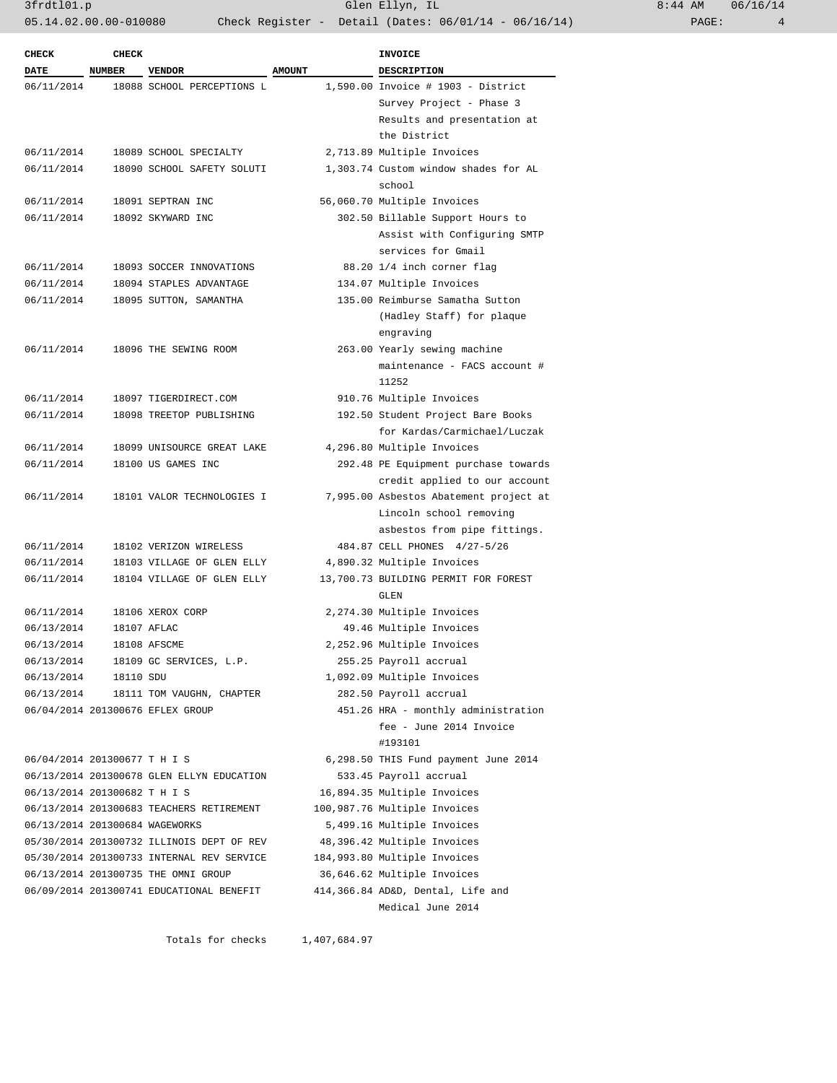3frdtl01.p Glen Ellyn, IL 8:44 AM 06/16/14 05.14.02.00.00-010080 Check Register - Detail (Dates: 06/01/14 - 06/16/14)

| <b>CHECK</b>                   | <b>CHECK</b>  |                                           |               | <b>INVOICE</b>                         |
|--------------------------------|---------------|-------------------------------------------|---------------|----------------------------------------|
| <b>DATE</b>                    | <b>NUMBER</b> | <b>VENDOR</b>                             | <b>AMOUNT</b> | <b>DESCRIPTION</b>                     |
| 06/11/2014                     |               | 18088 SCHOOL PERCEPTIONS L                |               | 1,590.00 Invoice # 1903 - District     |
|                                |               |                                           |               | Survey Project - Phase 3               |
|                                |               |                                           |               | Results and presentation at            |
|                                |               |                                           |               | the District                           |
| 06/11/2014                     |               | 18089 SCHOOL SPECIALTY                    |               | 2,713.89 Multiple Invoices             |
| 06/11/2014                     |               | 18090 SCHOOL SAFETY SOLUTI                |               | 1,303.74 Custom window shades for AL   |
|                                |               |                                           |               | school                                 |
| 06/11/2014                     |               | 18091 SEPTRAN INC                         |               | 56,060.70 Multiple Invoices            |
| 06/11/2014                     |               | 18092 SKYWARD INC                         |               | 302.50 Billable Support Hours to       |
|                                |               |                                           |               | Assist with Configuring SMTP           |
|                                |               |                                           |               | services for Gmail                     |
| 06/11/2014                     |               | 18093 SOCCER INNOVATIONS                  |               | 88.20 1/4 inch corner flag             |
| 06/11/2014                     |               | 18094 STAPLES ADVANTAGE                   |               | 134.07 Multiple Invoices               |
| 06/11/2014                     |               | 18095 SUTTON, SAMANTHA                    |               | 135.00 Reimburse Samatha Sutton        |
|                                |               |                                           |               | (Hadley Staff) for plaque              |
|                                |               |                                           |               | engraving                              |
| 06/11/2014                     |               | 18096 THE SEWING ROOM                     |               | 263.00 Yearly sewing machine           |
|                                |               |                                           |               | maintenance - FACS account #           |
|                                |               |                                           |               | 11252                                  |
| 06/11/2014                     |               | 18097 TIGERDIRECT.COM                     |               | 910.76 Multiple Invoices               |
| 06/11/2014                     |               | 18098 TREETOP PUBLISHING                  |               | 192.50 Student Project Bare Books      |
|                                |               |                                           |               | for Kardas/Carmichael/Luczak           |
| 06/11/2014                     |               | 18099 UNISOURCE GREAT LAKE                |               | 4,296.80 Multiple Invoices             |
| 06/11/2014                     |               | 18100 US GAMES INC                        |               | 292.48 PE Equipment purchase towards   |
|                                |               |                                           |               | credit applied to our account          |
| 06/11/2014                     |               | 18101 VALOR TECHNOLOGIES I                |               | 7,995.00 Asbestos Abatement project at |
|                                |               |                                           |               | Lincoln school removing                |
|                                |               |                                           |               | asbestos from pipe fittings.           |
| 06/11/2014                     |               | 18102 VERIZON WIRELESS                    |               | 484.87 CELL PHONES 4/27-5/26           |
| 06/11/2014                     |               | 18103 VILLAGE OF GLEN ELLY                |               | 4,890.32 Multiple Invoices             |
| 06/11/2014                     |               | 18104 VILLAGE OF GLEN ELLY                |               | 13,700.73 BUILDING PERMIT FOR FOREST   |
|                                |               |                                           |               | GLEN                                   |
| 06/11/2014                     |               | 18106 XEROX CORP                          |               | 2,274.30 Multiple Invoices             |
| 06/13/2014                     |               | 18107 AFLAC                               |               | 49.46 Multiple Invoices                |
| 06/13/2014                     |               | 18108 AFSCME                              |               | 2,252.96 Multiple Invoices             |
| 06/13/2014                     |               | 18109 GC SERVICES, L.P.                   |               | 255.25 Payroll accrual                 |
| 06/13/2014                     | 18110 SDU     |                                           |               | 1,092.09 Multiple Invoices             |
| 06/13/2014                     |               | 18111 TOM VAUGHN, CHAPTER                 |               | 282.50 Payroll accrual                 |
|                                |               | 06/04/2014 201300676 EFLEX GROUP          |               | 451.26 HRA - monthly administration    |
|                                |               |                                           |               | fee - June 2014 Invoice                |
|                                |               |                                           |               | #193101                                |
| 06/04/2014 201300677 T H I S   |               |                                           |               | 6,298.50 THIS Fund payment June 2014   |
|                                |               | 06/13/2014 201300678 GLEN ELLYN EDUCATION |               | 533.45 Payroll accrual                 |
| 06/13/2014 201300682 T H I S   |               |                                           |               | 16,894.35 Multiple Invoices            |
|                                |               | 06/13/2014 201300683 TEACHERS RETIREMENT  |               | 100,987.76 Multiple Invoices           |
| 06/13/2014 201300684 WAGEWORKS |               |                                           |               | 5,499.16 Multiple Invoices             |
|                                |               | 05/30/2014 201300732 ILLINOIS DEPT OF REV |               | 48,396.42 Multiple Invoices            |
|                                |               | 05/30/2014 201300733 INTERNAL REV SERVICE |               | 184,993.80 Multiple Invoices           |
|                                |               | 06/13/2014 201300735 THE OMNI GROUP       |               | 36,646.62 Multiple Invoices            |
|                                |               | 06/09/2014 201300741 EDUCATIONAL BENEFIT  |               | 414,366.84 AD&D, Dental, Life and      |
|                                |               |                                           |               | Medical June 2014                      |

Totals for checks 1,407,684.97